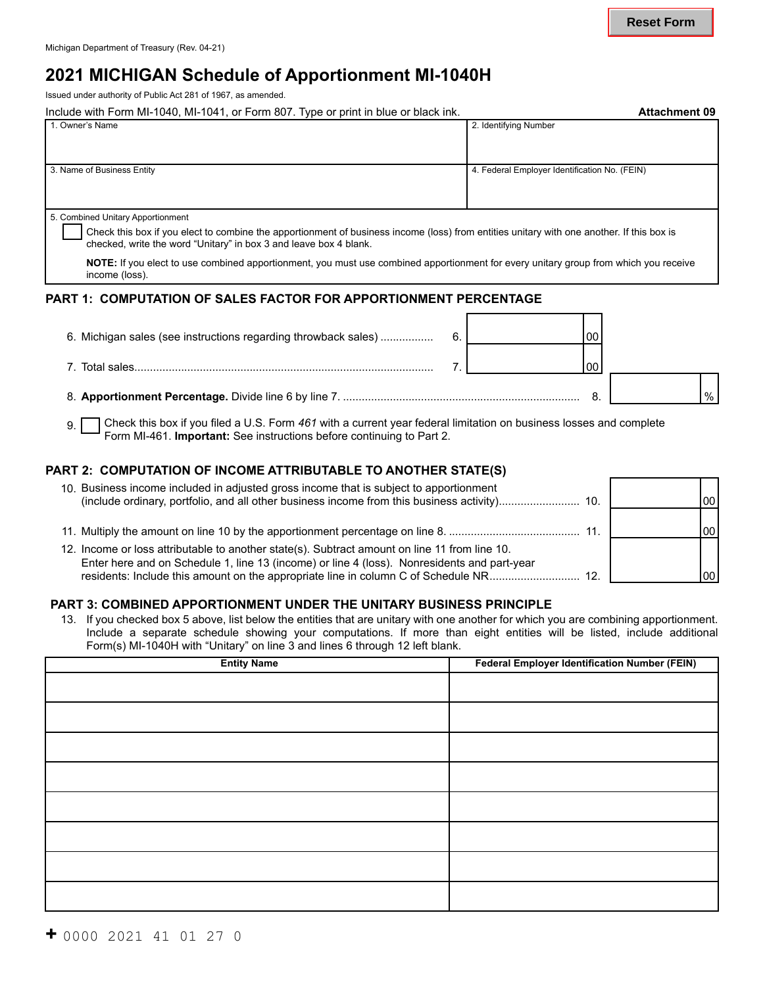# **2021 MICHIGAN Schedule of Apportionment MI-1040H**

Issued under authority of Public Act 281 of 1967, as amended.

| Include with Form MI-1040, MI-1041, or Form 807. Type or print in blue or black ink.                                                      | <b>Attachment 09</b>                          |  |  |  |  |
|-------------------------------------------------------------------------------------------------------------------------------------------|-----------------------------------------------|--|--|--|--|
| 1. Owner's Name                                                                                                                           | 2. Identifying Number                         |  |  |  |  |
|                                                                                                                                           |                                               |  |  |  |  |
|                                                                                                                                           |                                               |  |  |  |  |
| 3. Name of Business Entity                                                                                                                | 4. Federal Employer Identification No. (FEIN) |  |  |  |  |
|                                                                                                                                           |                                               |  |  |  |  |
|                                                                                                                                           |                                               |  |  |  |  |
| 5. Combined Unitary Apportionment                                                                                                         |                                               |  |  |  |  |
| Check this box if you elect to combine the apportionment of business income (loss) from entities unitary with one another. If this box is |                                               |  |  |  |  |
| checked, write the word "Unitary" in box 3 and leave box 4 blank.                                                                         |                                               |  |  |  |  |
| $MATE$ , If you alget to use combined eppertianment, you must use combined eppertianment for eventupitary aroun from which you resolve    |                                               |  |  |  |  |

**NOTE:** If you elect to use combined apportionment, you must use combined apportionment for every unitary group from which you receive income (loss).

#### **PART 1: COMPUTATION OF SALES FACTOR FOR APPORTIONMENT PERCENTAGE**

| 6. Michigan sales (see instructions regarding throwback sales) |  | 00 |      |
|----------------------------------------------------------------|--|----|------|
| 7. Total sales.                                                |  |    |      |
|                                                                |  |    | $\%$ |

 $\mathbf{q}$ Check this box if you filed a U.S. Form *461* with a current year federal limitation on business losses and complete Form MI-461. **Important:** See instructions before continuing to Part 2.

### **PART 2: COMPUTATION OF INCOME ATTRIBUTABLE TO ANOTHER STATE(S)**

| 10. Business income included in adjusted gross income that is subject to apportionment                                                                                                                                                                                            |     | 00  |
|-----------------------------------------------------------------------------------------------------------------------------------------------------------------------------------------------------------------------------------------------------------------------------------|-----|-----|
|                                                                                                                                                                                                                                                                                   | 11. | loo |
| 12. Income or loss attributable to another state(s). Subtract amount on line 11 from line 10.<br>Enter here and on Schedule 1, line 13 (income) or line 4 (loss). Nonresidents and part-year<br>residents: Include this amount on the appropriate line in column C of Schedule NR | 12. | 00  |

### **PART 3: COMBINED APPORTIONMENT UNDER THE UNITARY BUSINESS PRINCIPLE**

13. If you checked box 5 above, list below the entities that are unitary with one another for which you are combining apportionment. Include a separate schedule showing your computations. If more than eight entities will be listed, include additional Form(s) MI-1040H with "Unitary" on line 3 and lines 6 through 12 left blank.

| <b>Entity Name</b> | <b>Federal Employer Identification Number (FEIN)</b> |
|--------------------|------------------------------------------------------|
|                    |                                                      |
|                    |                                                      |
|                    |                                                      |
|                    |                                                      |
|                    |                                                      |
|                    |                                                      |
|                    |                                                      |
|                    |                                                      |
|                    |                                                      |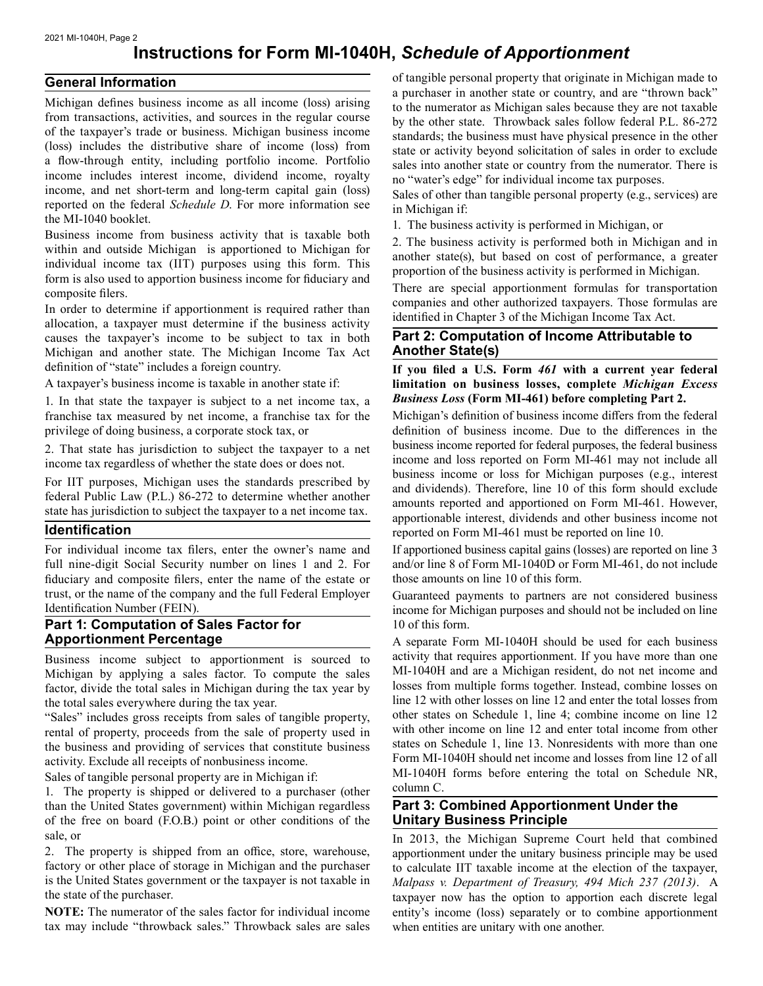#### 2021 MI-1040H, Page 2

# **Instructions for Form MI-1040H,** *Schedule of Apportionment*

#### **General Information**

Michigan defines business income as all income (loss) arising from transactions, activities, and sources in the regular course of the taxpayer's trade or business. Michigan business income (loss) includes the distributive share of income (loss) from a flow-through entity, including portfolio income. Portfolio income includes interest income, dividend income, royalty income, and net short-term and long-term capital gain (loss) reported on the federal *Schedule D*. For more information see the MI-1040 booklet.

Business income from business activity that is taxable both within and outside Michigan is apportioned to Michigan for individual income tax (IIT) purposes using this form. This form is also used to apportion business income for fiduciary and composite filers.

In order to determine if apportionment is required rather than allocation, a taxpayer must determine if the business activity causes the taxpayer's income to be subject to tax in both Michigan and another state. The Michigan Income Tax Act definition of "state" includes a foreign country.

A taxpayer's business income is taxable in another state if:

1. In that state the taxpayer is subject to a net income tax, a franchise tax measured by net income, a franchise tax for the privilege of doing business, a corporate stock tax, or

2. That state has jurisdiction to subject the taxpayer to a net income tax regardless of whether the state does or does not.

For IIT purposes, Michigan uses the standards prescribed by federal Public Law (P.L.) 86-272 to determine whether another state has jurisdiction to subject the taxpayer to a net income tax.

#### **Identification**

For individual income tax filers, enter the owner's name and full nine-digit Social Security number on lines 1 and 2. For fiduciary and composite filers, enter the name of the estate or trust, or the name of the company and the full Federal Employer Identification Number (FEIN).

#### **Part 1: Computation of Sales Factor for Apportionment Percentage**

Business income subject to apportionment is sourced to Michigan by applying a sales factor. To compute the sales factor, divide the total sales in Michigan during the tax year by the total sales everywhere during the tax year.

"Sales" includes gross receipts from sales of tangible property, rental of property, proceeds from the sale of property used in the business and providing of services that constitute business activity. Exclude all receipts of nonbusiness income.

Sales of tangible personal property are in Michigan if:

1. The property is shipped or delivered to a purchaser (other than the United States government) within Michigan regardless of the free on board (F.O.B.) point or other conditions of the sale, or

2. The property is shipped from an office, store, warehouse, factory or other place of storage in Michigan and the purchaser is the United States government or the taxpayer is not taxable in the state of the purchaser.

**NOTE:** The numerator of the sales factor for individual income tax may include "throwback sales." Throwback sales are sales

of tangible personal property that originate in Michigan made to a purchaser in another state or country, and are "thrown back" to the numerator as Michigan sales because they are not taxable by the other state. Throwback sales follow federal P.L. 86-272 standards; the business must have physical presence in the other state or activity beyond solicitation of sales in order to exclude sales into another state or country from the numerator. There is no "water's edge" for individual income tax purposes.

Sales of other than tangible personal property (e.g., services) are in Michigan if:

1. The business activity is performed in Michigan, or

2. The business activity is performed both in Michigan and in another state(s), but based on cost of performance, a greater proportion of the business activity is performed in Michigan.

There are special apportionment formulas for transportation companies and other authorized taxpayers. Those formulas are identified in Chapter 3 of the Michigan Income Tax Act.

#### **Part 2: Computation of Income Attributable to Another State(s)**

**If you filed a U.S. Form** *461* **with a current year federal limitation on business losses, complete** *Michigan Excess Business Loss* **(Form MI-461) before completing Part 2.** 

 definition of business income. Due to the differences in the Michigan's definition of business income differs from the federal business income reported for federal purposes, the federal business income and loss reported on Form MI-461 may not include all business income or loss for Michigan purposes (e.g., interest and dividends). Therefore, line 10 of this form should exclude amounts reported and apportioned on Form MI-461. However, apportionable interest, dividends and other business income not reported on Form MI-461 must be reported on line 10.

If apportioned business capital gains (losses) are reported on line 3 and/or line 8 of Form MI-1040D or Form MI-461, do not include those amounts on line 10 of this form.

Guaranteed payments to partners are not considered business income for Michigan purposes and should not be included on line 10 of this form.

 MI-1040H forms before entering the total on Schedule NR, A separate Form MI-1040H should be used for each business activity that requires apportionment. If you have more than one MI-1040H and are a Michigan resident, do not net income and losses from multiple forms together. Instead, combine losses on line 12 with other losses on line 12 and enter the total losses from other states on Schedule 1, line 4; combine income on line 12 with other income on line 12 and enter total income from other states on Schedule 1, line 13. Nonresidents with more than one Form MI-1040H should net income and losses from line 12 of all column C.

### **Unitary Business Principle Part 3: Combined Apportionment Under the**

 *Malpass v. Department of Treasury, 494 Mich 237 (2013)*. A In 2013, the Michigan Supreme Court held that combined apportionment under the unitary business principle may be used to calculate IIT taxable income at the election of the taxpayer, taxpayer now has the option to apportion each discrete legal entity's income (loss) separately or to combine apportionment when entities are unitary with one another.